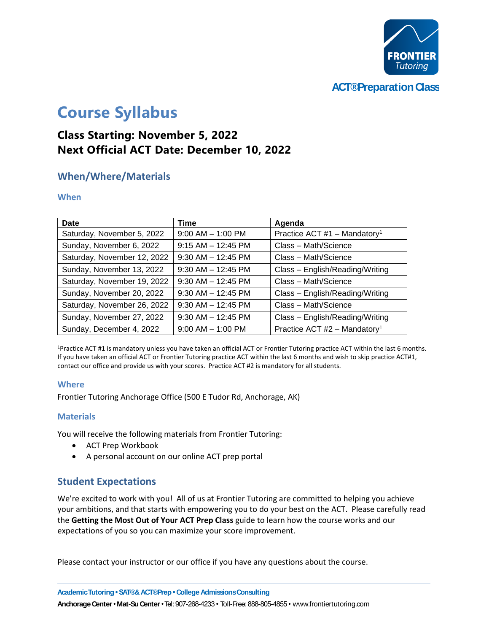

**ACT®Preparation Class** 

# **Course Syllabus**

# **Class Starting: November 5, 2022 Next Official ACT Date: December 10, 2022**

## **When/Where/Materials**

#### **When**

| Date                        | <b>Time</b>            | Agenda                                   |
|-----------------------------|------------------------|------------------------------------------|
| Saturday, November 5, 2022  | $9:00$ AM $-$ 1:00 PM  | Practice ACT #1 - Mandatory <sup>1</sup> |
| Sunday, November 6, 2022    | $9:15$ AM $- 12:45$ PM | Class - Math/Science                     |
| Saturday, November 12, 2022 | $9:30$ AM $-12:45$ PM  | Class - Math/Science                     |
| Sunday, November 13, 2022   | $9:30$ AM $-$ 12:45 PM | Class - English/Reading/Writing          |
| Saturday, November 19, 2022 | $9:30$ AM $-12:45$ PM  | Class - Math/Science                     |
| Sunday, November 20, 2022   | $9:30$ AM $-12:45$ PM  | Class - English/Reading/Writing          |
| Saturday, November 26, 2022 | $9:30$ AM $-12:45$ PM  | Class - Math/Science                     |
| Sunday, November 27, 2022   | $9:30$ AM $-12:45$ PM  | Class - English/Reading/Writing          |
| Sunday, December 4, 2022    | $9:00$ AM $-1:00$ PM   | Practice ACT #2 - Mandatory <sup>1</sup> |

<sup>1</sup>Practice ACT #1 is mandatory unless you have taken an official ACT or Frontier Tutoring practice ACT within the last 6 months. If you have taken an official ACT or Frontier Tutoring practice ACT within the last 6 months and wish to skip practice ACT#1, contact our office and provide us with your scores. Practice ACT #2 is mandatory for all students.

#### **Where**

Frontier Tutoring Anchorage Office (500 E Tudor Rd, Anchorage, AK)

#### **Materials**

You will receive the following materials from Frontier Tutoring:

- ACT Prep Workbook
- A personal account on our online ACT prep portal

## **Student Expectations**

We're excited to work with you! All of us at Frontier Tutoring are committed to helping you achieve your ambitions, and that starts with empowering you to do your best on the ACT. Please carefully read the **Getting the Most Out of Your ACT Prep Class** guide to learn how the course works and our expectations of you so you can maximize your score improvement.

Please contact your instructor or our office if you have any questions about the course.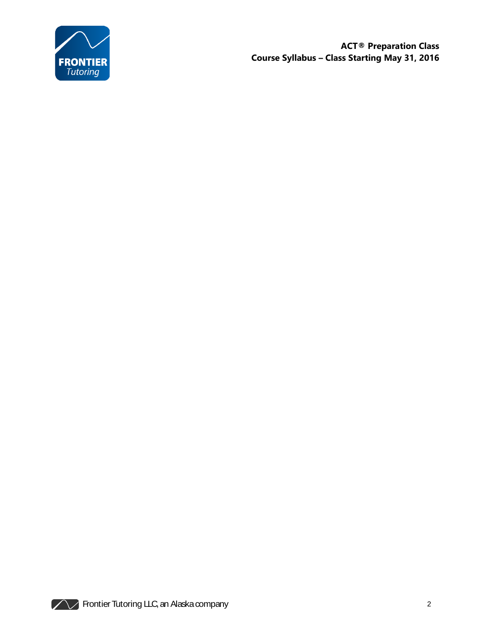

**ACT® Preparation Class Course Syllabus – Class Starting May 31, 2016**